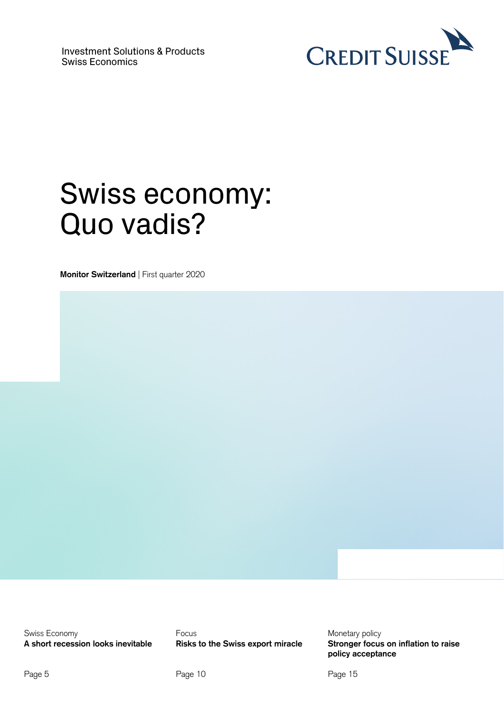

## Swiss economy: Quo vadis?

**Monitor Switzerland** | First quarter 2020

Swiss Economy **Focus** Focus **Focus Monetary policy** 

 **policy acceptance A short recession looks inevitable Risks to the Swiss export miracle Stronger focus on inflation to raise**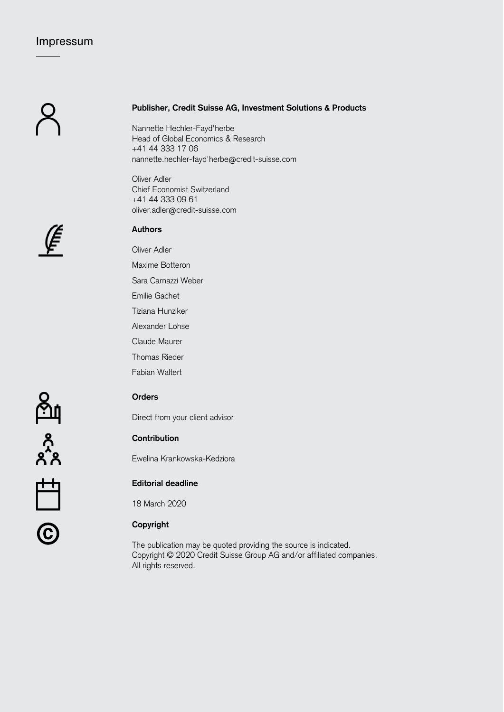## Impressum

### **Publisher, Credit Suisse AG, Investment Solutions & Products**

Nannette Hechler-Fayd'herbe Head of Global Economics & Research +41 44 333 17 06 nannette.hechler-fayd'herbe@credit-suisse.com

Oliver Adler Chief Economist Switzerland +41 44 333 09 61 oliver.adler@credit-suisse.com

# ⊯<br>€

जून

 $x^2$ 

宀

**Authors** 

Oliver Adler

Maxime Botteron

Sara Carnazzi Weber

Emilie Gachet

Tiziana Hunziker

Alexander Lohse

Claude Maurer

Thomas Rieder

Fabian Waltert

### **Orders**

Direct from your client advisor

## **Contribution**

Ewelina Krankowska-Kedziora

## **Editorial deadline**

18 March 2020

# © **Copyright**

The publication may be quoted providing the source is indicated. Copyright © 2020 Credit Suisse Group AG and/or affiliated companies. All rights reserved.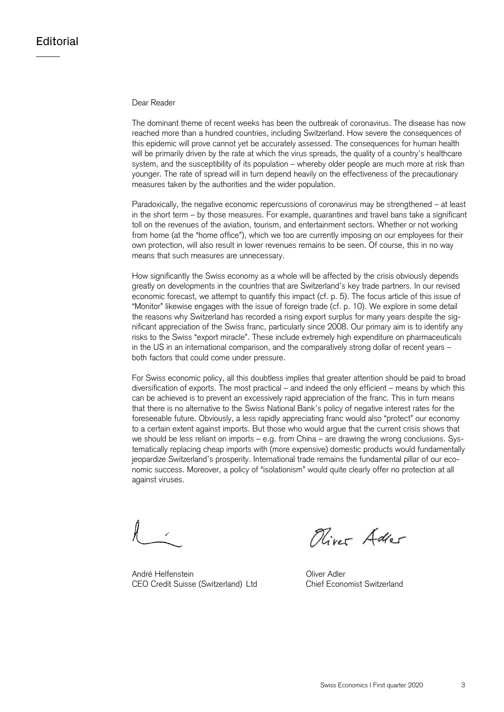#### Dear Reader

measures taken by the authorities and the wider population. The dominant theme of recent weeks has been the outbreak of coronavirus. The disease has now reached more than a hundred countries, including Switzerland. How severe the consequences of this epidemic will prove cannot yet be accurately assessed. The consequences for human health will be primarily driven by the rate at which the virus spreads, the quality of a country's healthcare system, and the susceptibility of its population – whereby older people are much more at risk than younger. The rate of spread will in turn depend heavily on the effectiveness of the precautionary

means that such measures are unnecessary. Paradoxically, the negative economic repercussions of coronavirus may be strengthened – at least in the short term – by those measures. For example, quarantines and travel bans take a significant toll on the revenues of the aviation, tourism, and entertainment sectors. Whether or not working from home (at the "home office"), which we too are currently imposing on our employees for their own protection, will also result in lower revenues remains to be seen. Of course, this in no way

How significantly the Swiss economy as a whole will be affected by the crisis obviously depends greatly on developments in the countries that are Switzerland's key trade partners. In our revised economic forecast, we attempt to quantify this impact (cf. p. 5). The focus article of this issue of "Monitor" likewise engages with the issue of foreign trade (cf. p. 10). We explore in some detail the reasons why Switzerland has recorded a rising export surplus for many years despite the significant appreciation of the Swiss franc, particularly since 2008. Our primary aim is to identify any risks to the Swiss "export miracle". These include extremely high expenditure on pharmaceuticals in the US in an international comparison, and the comparatively strong dollar of recent years – both factors that could come under pressure.

For Swiss economic policy, all this doubtless implies that greater attention should be paid to broad diversification of exports. The most practical – and indeed the only efficient – means by which this can be achieved is to prevent an excessively rapid appreciation of the franc. This in turn means that there is no alternative to the Swiss National Bank's policy of negative interest rates for the foreseeable future. Obviously, a less rapidly appreciating franc would also "protect" our economy to a certain extent against imports. But those who would argue that the current crisis shows that we should be less reliant on imports – e.g. from China – are drawing the wrong conclusions. Systematically replacing cheap imports with (more expensive) domestic products would fundamentally jeopardize Switzerland's prosperity. International trade remains the fundamental pillar of our economic success. Moreover, a policy of "isolationism" would quite clearly offer no protection at all against viruses.

 André Helfenstein Oliver Adler CEO Credit Suisse (Switzerland) Ltd Chief Economist Switzerland

Oliver Adler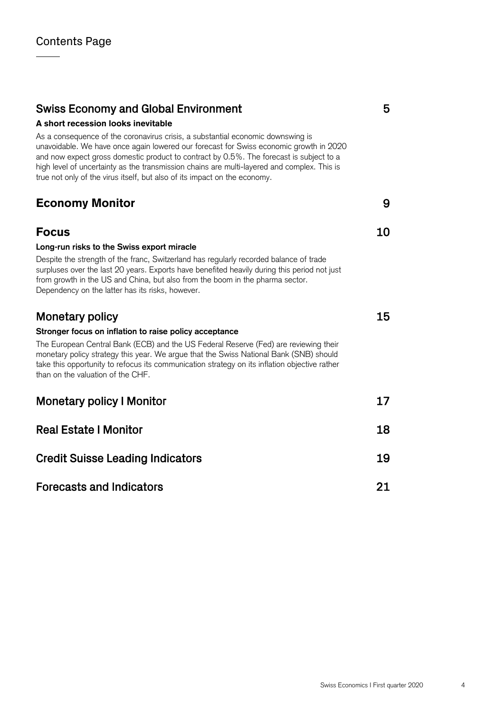## Swiss Economy and Global Environment 5

## A short recession looks inevitable

As a consequence of the coronavirus crisis, a substantial economic downswing is unavoidable. We have once again lowered our forecast for Swiss economic growth in 2020 and now expect gross domestic product to contract by 0.5%. The forecast is subject to a high level of uncertainty as the transmission chains are multi-layered and complex. This is true not only of the virus itself, but also of its impact on the economy.

## Economy Monitor 9

## **Focus** 10 **Long-run risks to the Swiss export miracle**  Despite the strength of the franc, Switzerland has regularly recorded balance of trade surpluses over the last 20 years. Exports have benefited heavily during this period not just from growth in the US and China, but also from the boom in the pharma sector. Dependency on the latter has its risks, however. Monetary policy and the settlement of the settlement of the settlement of the settlement of the settlement of the settlement of the settlement of the settlement of the settlement of the settlement of the settlement of the **Stronger focus on inflation to raise policy acceptance**  The European Central Bank (ECB) and the US Federal Reserve (Fed) are reviewing their monetary policy strategy this year. We argue that the Swiss National Bank (SNB) should take this opportunity to refocus its communication strategy on its inflation objective rather than on the valuation of the CHF. Monetary policy I Monitor 17 and 17 Real Estate I Monitor 18 **Credit Suisse Leading Indicators 19 and 19 and 19 and 19 and 19 and 19 and 19 and 19 and 19 and 19 and 19 and 19 and 19 and 19 and 19 and 19 and 19 and 19 and 19 and 19 and 19 and 19 and 19 and 19 and 19 and 19 and 19 and**

Forecasts and Indicators 21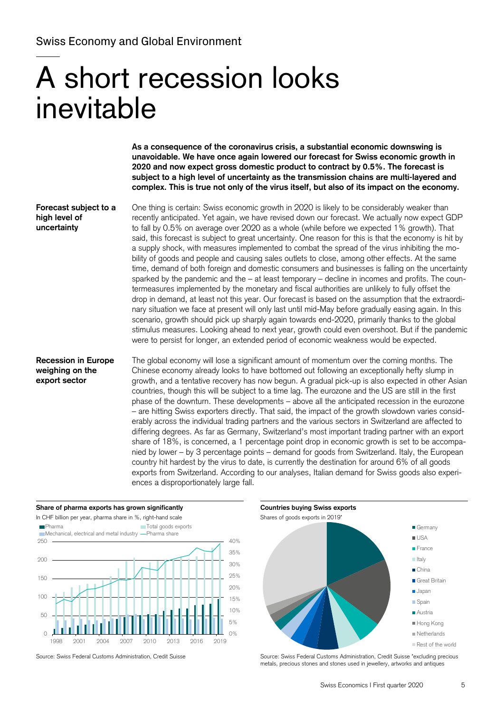# A short recession looks inevitable

**As a consequence of the coronavirus crisis, a substantial economic downswing is unavoidable. We have once again lowered our forecast for Swiss economic growth in 2020 and now expect gross domestic product to contract by 0.5%. The forecast is subject to a high level of uncertainty as the transmission chains are multi-layered and complex. This is true not only of the virus itself, but also of its impact on the economy.** 

**Forecast subject to a** One thing is certain: Swiss economic growth in 2020 is likely to be considerably weaker than **high level of recently anticipated. Yet again, we have revised down our forecast. We actually now expect GDP uncertainty** to fall by 0.5% on average over 2020 as a whole (while before we expected 1% growth). That said, this forecast is subject to great uncertainty. One reason for this is that the economy is hit by a supply shock, with measures implemented to combat the spread of the virus inhibiting the mobility of goods and people and causing sales outlets to close, among other effects. At the same time, demand of both foreign and domestic consumers and businesses is falling on the uncertainty sparked by the pandemic and the  $-$  at least temporary  $-$  decline in incomes and profits. The countermeasures implemented by the monetary and fiscal authorities are unlikely to fully offset the drop in demand, at least not this year. Our forecast is based on the assumption that the extraordinary situation we face at present will only last until mid-May before gradually easing again. In this scenario, growth should pick up sharply again towards end-2020, primarily thanks to the global stimulus measures. Looking ahead to next year, growth could even overshoot. But if the pandemic were to persist for longer, an extended period of economic weakness would be expected.

**Recession in Europe** The global economy will lose a significant amount of momentum over the coming months. The **weighing on the** Chinese economy already looks to have bottomed out following an exceptionally hefty slump in **export sector growth, and a tentative recovery has now begun.** A gradual pick-up is also expected in other Asian countries, though this will be subject to a time lag. The eurozone and the US are still in the first phase of the downturn. These developments – above all the anticipated recession in the eurozone – are hitting Swiss exporters directly. That said, the impact of the growth slowdown varies considerably across the individual trading partners and the various sectors in Switzerland are affected to differing degrees. As far as Germany, Switzerland's most important trading partner with an export share of 18%, is concerned, a 1 percentage point drop in economic growth is set to be accompanied by lower – by 3 percentage points – demand for goods from Switzerland. Italy, the European country hit hardest by the virus to date, is currently the destination for around 6% of all goods exports from Switzerland. According to our analyses, Italian demand for Swiss goods also experiences a disproportionately large fall.

#### Share of pharma exports has grown significantly **Countries buying Swiss exports Countries buying Swiss exports**





Source: Swiss Federal Customs Administration, Credit Suisse Suisse Source: Swiss Federal Customs Administration, Credit Suisse \*excluding precious metals, precious stones and stones used in jewellery, artworks and antiques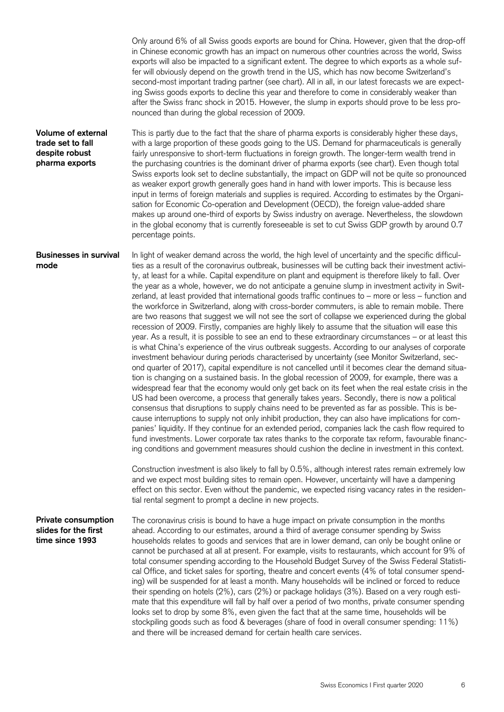Only around 6% of all Swiss goods exports are bound for China. However, given that the drop-off in Chinese economic growth has an impact on numerous other countries across the world, Swiss exports will also be impacted to a significant extent. The degree to which exports as a whole suffer will obviously depend on the growth trend in the US, which has now become Switzerland's second-most important trading partner (see chart). All in all, in our latest forecasts we are expecting Swiss goods exports to decline this year and therefore to come in considerably weaker than after the Swiss franc shock in 2015. However, the slump in exports should prove to be less pronounced than during the global recession of 2009.

**Volume of external trade set to fall despite robust pharma exports**  This is partly due to the fact that the share of pharma exports is considerably higher these days, with a large proportion of these goods going to the US. Demand for pharmaceuticals is generally fairly unresponsive to short-term fluctuations in foreign growth. The longer-term wealth trend in the purchasing countries is the dominant driver of pharma exports (see chart). Even though total Swiss exports look set to decline substantially, the impact on GDP will not be quite so pronounced as weaker export growth generally goes hand in hand with lower imports. This is because less input in terms of foreign materials and supplies is required. According to estimates by the Organisation for Economic Co-operation and Development (OECD), the foreign value-added share makes up around one-third of exports by Swiss industry on average. Nevertheless, the slowdown in the global economy that is currently foreseeable is set to cut Swiss GDP growth by around 0.7 percentage points.

 year. As a result, it is possible to see an end to these extraordinary circumstances – or at least this **Businesses in survival mode**  In light of weaker demand across the world, the high level of uncertainty and the specific difficulties as a result of the coronavirus outbreak, businesses will be cutting back their investment activity, at least for a while. Capital expenditure on plant and equipment is therefore likely to fall. Over the year as a whole, however, we do not anticipate a genuine slump in investment activity in Switzerland, at least provided that international goods traffic continues to – more or less – function and the workforce in Switzerland, along with cross-border commuters, is able to remain mobile. There are two reasons that suggest we will not see the sort of collapse we experienced during the global recession of 2009. Firstly, companies are highly likely to assume that the situation will ease this is what China's experience of the virus outbreak suggests. According to our analyses of corporate investment behaviour during periods characterised by uncertainty (see Monitor Switzerland, second quarter of 2017), capital expenditure is not cancelled until it becomes clear the demand situation is changing on a sustained basis. In the global recession of 2009, for example, there was a widespread fear that the economy would only get back on its feet when the real estate crisis in the US had been overcome, a process that generally takes years. Secondly, there is now a political consensus that disruptions to supply chains need to be prevented as far as possible. This is because interruptions to supply not only inhibit production, they can also have implications for companies' liquidity. If they continue for an extended period, companies lack the cash flow required to fund investments. Lower corporate tax rates thanks to the corporate tax reform, favourable financing conditions and government measures should cushion the decline in investment in this context.

> Construction investment is also likely to fall by 0.5%, although interest rates remain extremely low and we expect most building sites to remain open. However, uncertainty will have a dampening effect on this sector. Even without the pandemic, we expected rising vacancy rates in the residential rental segment to prompt a decline in new projects.

#### **Private consumption slides for the first time since 1993**

The coronavirus crisis is bound to have a huge impact on private consumption in the months ahead. According to our estimates, around a third of average consumer spending by Swiss households relates to goods and services that are in lower demand, can only be bought online or cannot be purchased at all at present. For example, visits to restaurants, which account for 9% of total consumer spending according to the Household Budget Survey of the Swiss Federal Statistical Office, and ticket sales for sporting, theatre and concert events (4% of total consumer spending) will be suspended for at least a month. Many households will be inclined or forced to reduce their spending on hotels (2%), cars (2%) or package holidays (3%). Based on a very rough estimate that this expenditure will fall by half over a period of two months, private consumer spending looks set to drop by some 8%, even given the fact that at the same time, households will be stockpiling goods such as food & beverages (share of food in overall consumer spending: 11%) and there will be increased demand for certain health care services.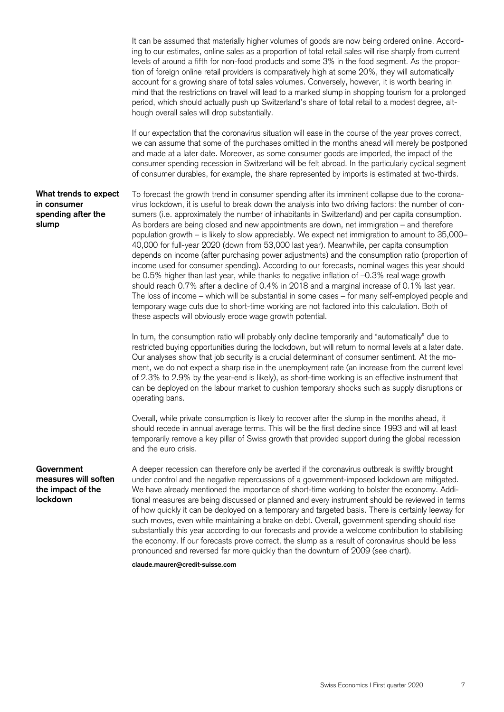It can be assumed that materially higher volumes of goods are now being ordered online. According to our estimates, online sales as a proportion of total retail sales will rise sharply from current levels of around a fifth for non-food products and some 3% in the food segment. As the proportion of foreign online retail providers is comparatively high at some 20%, they will automatically account for a growing share of total sales volumes. Conversely, however, it is worth bearing in mind that the restrictions on travel will lead to a marked slump in shopping tourism for a prolonged period, which should actually push up Switzerland's share of total retail to a modest degree, although overall sales will drop substantially.

If our expectation that the coronavirus situation will ease in the course of the year proves correct, we can assume that some of the purchases omitted in the months ahead will merely be postponed and made at a later date. Moreover, as some consumer goods are imported, the impact of the consumer spending recession in Switzerland will be felt abroad. In the particularly cyclical segment of consumer durables, for example, the share represented by imports is estimated at two-thirds.

**What trends to expect in consumer spending after the slump** 

To forecast the growth trend in consumer spending after its imminent collapse due to the coronavirus lockdown, it is useful to break down the analysis into two driving factors: the number of consumers (i.e. approximately the number of inhabitants in Switzerland) and per capita consumption. As borders are being closed and new appointments are down, net immigration – and therefore population growth – is likely to slow appreciably. We expect net immigration to amount to 35,000– 40,000 for full-year 2020 (down from 53,000 last year). Meanwhile, per capita consumption depends on income (after purchasing power adjustments) and the consumption ratio (proportion of income used for consumer spending). According to our forecasts, nominal wages this year should be 0.5% higher than last year, while thanks to negative inflation of –0.3% real wage growth should reach 0.7% after a decline of 0.4% in 2018 and a marginal increase of 0.1% last year. The loss of income – which will be substantial in some cases – for many self-employed people and temporary wage cuts due to short-time working are not factored into this calculation. Both of these aspects will obviously erode wage growth potential.

In turn, the consumption ratio will probably only decline temporarily and "automatically" due to restricted buying opportunities during the lockdown, but will return to normal levels at a later date. Our analyses show that job security is a crucial determinant of consumer sentiment. At the moment, we do not expect a sharp rise in the unemployment rate (an increase from the current level of 2.3% to 2.9% by the year-end is likely), as short-time working is an effective instrument that can be deployed on the labour market to cushion temporary shocks such as supply disruptions or operating bans.

Overall, while private consumption is likely to recover after the slump in the months ahead, it should recede in annual average terms. This will be the first decline since 1993 and will at least temporarily remove a key pillar of Swiss growth that provided support during the global recession and the euro crisis.

#### **Government measures will soften the impact of the lockdown**

A deeper recession can therefore only be averted if the coronavirus outbreak is swiftly brought under control and the negative repercussions of a government-imposed lockdown are mitigated. We have already mentioned the importance of short-time working to bolster the economy. Additional measures are being discussed or planned and every instrument should be reviewed in terms of how quickly it can be deployed on a temporary and targeted basis. There is certainly leeway for such moves, even while maintaining a brake on debt. Overall, government spending should rise substantially this year according to our forecasts and provide a welcome contribution to stabilising the economy. If our forecasts prove correct, the slump as a result of coronavirus should be less pronounced and reversed far more quickly than the downturn of 2009 (see chart).

**claude.maurer@credit-suisse.com**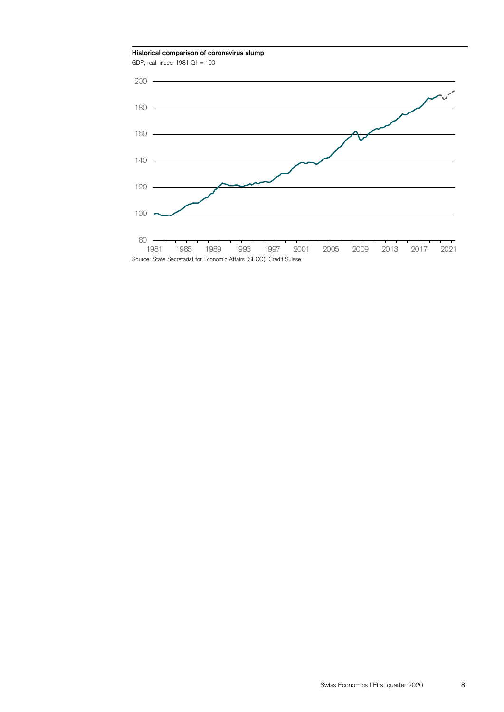**Historical comparison of coronavirus slump** 

GDP, real, index: 1981 Q1 = 100

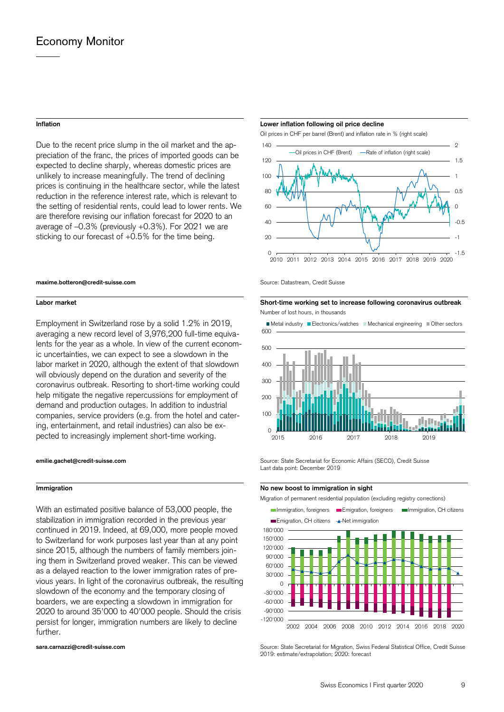#### **Inflation**

Due to the recent price slump in the oil market and the appreciation of the franc, the prices of imported goods can be expected to decline sharply, whereas domestic prices are unlikely to increase meaningfully. The trend of declining prices is continuing in the healthcare sector, while the latest reduction in the reference interest rate, which is relevant to the setting of residential rents, could lead to lower rents. We are therefore revising our inflation forecast for 2020 to an average of –0.3% (previously +0.3%). For 2021 we are sticking to our forecast of +0.5% for the time being.

#### **maxime.botteron@credit-suisse.com**

#### **Labor market**

 help mitigate the negative repercussions for employment of pected to increasingly implement short-time working. Employment in Switzerland rose by a solid 1.2% in 2019, averaging a new record level of 3,976,200 full-time equivalents for the year as a whole. In view of the current economic uncertainties, we can expect to see a slowdown in the labor market in 2020, although the extent of that slowdown will obviously depend on the duration and severity of the coronavirus outbreak. Resorting to short-time working could demand and production outages. In addition to industrial companies, service providers (e.g. from the hotel and catering, entertainment, and retail industries) can also be ex-

#### **emilie.gachet@credit-suisse.com**

#### **Immigration**

With an estimated positive balance of 53,000 people, the stabilization in immigration recorded in the previous year continued in 2019. Indeed, at 69,000, more people moved to Switzerland for work purposes last year than at any point since 2015, although the numbers of family members joining them in Switzerland proved weaker. This can be viewed as a delayed reaction to the lower immigration rates of previous years. In light of the coronavirus outbreak, the resulting slowdown of the economy and the temporary closing of boarders, we are expecting a slowdown in immigration for 2020 to around 35'000 to 40'000 people. Should the crisis persist for longer, immigration numbers are likely to decline further.

#### **sara.carnazzi@credit-suisse.com**

#### **Lower inflation following oil price decline**

Oil prices in CHF per barrel (Brent) and inflation rate in % (right scale)



Source: Datastream, Credit Suisse

**Short-time working set to increase following coronavirus outbreak**  Number of lost hours, in thousands



Source: State Secretariat for Economic Affairs (SECO), Credit Suisse Last data point: December 2019

#### **No new boost to immigration in sight**

Migration of permanent residential population (excluding registry corrections)



Source: State Secretariat for Migration, Swiss Federal Statistical Office, Credit Suisse 2019: estimate/extrapolation; 2020: forecast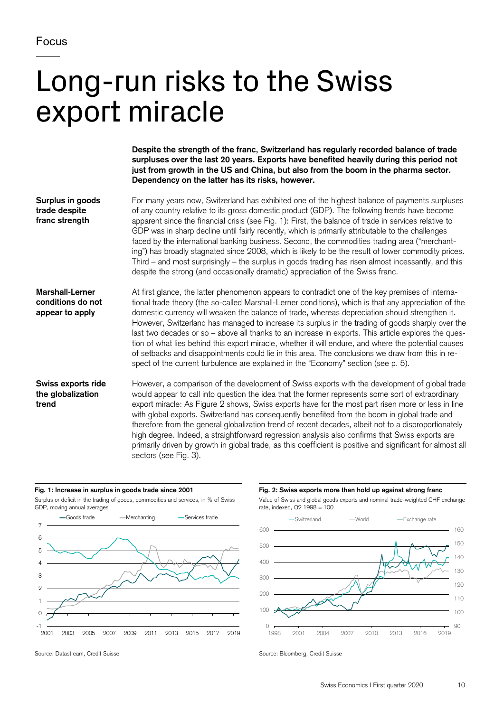# Long-run risks to the Swiss export miracle

**Despite the strength of the franc, Switzerland has regularly recorded balance of trade surpluses over the last 20 years. Exports have benefited heavily during this period not just from growth in the US and China, but also from the boom in the pharma sector. Dependency on the latter has its risks, however.** 

**Surplus in goods trade despite franc strength**  For many years now, Switzerland has exhibited one of the highest balance of payments surpluses of any country relative to its gross domestic product (GDP). The following trends have become apparent since the financial crisis (see Fig. 1): First, the balance of trade in services relative to GDP was in sharp decline until fairly recently, which is primarily attributable to the challenges faced by the international banking business. Second, the commodities trading area ("merchanting") has broadly stagnated since 2008, which is likely to be the result of lower commodity prices. Third – and most surprisingly – the surplus in goods trading has risen almost incessantly, and this despite the strong (and occasionally dramatic) appreciation of the Swiss franc.

**Marshall-Lerner conditions do not appear to apply**  At first glance, the latter phenomenon appears to contradict one of the key premises of international trade theory (the so-called Marshall-Lerner conditions), which is that any appreciation of the domestic currency will weaken the balance of trade, whereas depreciation should strengthen it. However, Switzerland has managed to increase its surplus in the trading of goods sharply over the last two decades or so – above all thanks to an increase in exports. This article explores the question of what lies behind this export miracle, whether it will endure, and where the potential causes of setbacks and disappointments could lie in this area. The conclusions we draw from this in respect of the current turbulence are explained in the "Economy" section (see p. 5).

## **Swiss exports ride the globalization trend**

However, a comparison of the development of Swiss exports with the development of global trade would appear to call into question the idea that the former represents some sort of extraordinary export miracle: As Figure 2 shows, Swiss exports have for the most part risen more or less in line with global exports. Switzerland has consequently benefited from the boom in global trade and therefore from the general globalization trend of recent decades, albeit not to a disproportionately high degree. Indeed, a straightforward regression analysis also confirms that Swiss exports are primarily driven by growth in global trade, as this coefficient is positive and significant for almost all sectors (see Fig. 3).

#### **Fig. 1: Increase in surplus in goods trade since 2001**

 Surplus or deficit in the trading of goods, commodities and services, in % of Swiss GDP, moving annual averages



**Fig. 2: Swiss exports more than hold up against strong franc** 





Source: Datastream, Credit Suisse Source: Bloomberg, Credit Suisse Source: Bloomberg, Credit Suisse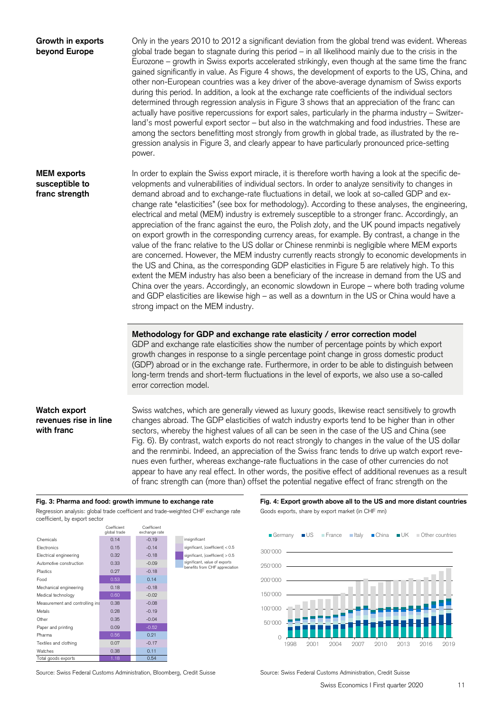| Growth in exports<br>beyond Europe                     | Only in the years 2010 to 2012 a significant deviation from the global trend was evident. Whereas<br>global trade began to stagnate during this period - in all likelihood mainly due to the crisis in the<br>Eurozone – growth in Swiss exports accelerated strikingly, even though at the same time the franc<br>gained significantly in value. As Figure 4 shows, the development of exports to the US, China, and<br>other non-European countries was a key driver of the above-average dynamism of Swiss exports<br>during this period. In addition, a look at the exchange rate coefficients of the individual sectors<br>determined through regression analysis in Figure 3 shows that an appreciation of the franc can<br>actually have positive repercussions for export sales, particularly in the pharma industry - Switzer-<br>land's most powerful export sector - but also in the watchmaking and food industries. These are<br>among the sectors benefitting most strongly from growth in global trade, as illustrated by the re-<br>gression analysis in Figure 3, and clearly appear to have particularly pronounced price-setting<br>power.                                                                                                                                                                                                                       |
|--------------------------------------------------------|-------------------------------------------------------------------------------------------------------------------------------------------------------------------------------------------------------------------------------------------------------------------------------------------------------------------------------------------------------------------------------------------------------------------------------------------------------------------------------------------------------------------------------------------------------------------------------------------------------------------------------------------------------------------------------------------------------------------------------------------------------------------------------------------------------------------------------------------------------------------------------------------------------------------------------------------------------------------------------------------------------------------------------------------------------------------------------------------------------------------------------------------------------------------------------------------------------------------------------------------------------------------------------------------------------------------------------------------------------------------------------------|
| <b>MEM</b> exports<br>susceptible to<br>franc strength | In order to explain the Swiss export miracle, it is therefore worth having a look at the specific de-<br>velopments and vulnerabilities of individual sectors. In order to analyze sensitivity to changes in<br>demand abroad and to exchange-rate fluctuations in detail, we look at so-called GDP and ex-<br>change rate "elasticities" (see box for methodology). According to these analyses, the engineering,<br>electrical and metal (MEM) industry is extremely susceptible to a stronger franc. Accordingly, an<br>appreciation of the franc against the euro, the Polish zloty, and the UK pound impacts negatively<br>on export growth in the corresponding currency areas, for example. By contrast, a change in the<br>value of the franc relative to the US dollar or Chinese renminbi is negligible where MEM exports<br>are concerned. However, the MEM industry currently reacts strongly to economic developments in<br>the US and China, as the corresponding GDP elasticities in Figure 5 are relatively high. To this<br>extent the MEM industry has also been a beneficiary of the increase in demand from the US and<br>China over the years. Accordingly, an economic slowdown in Europe – where both trading volume<br>and GDP elasticities are likewise high - as well as a downturn in the US or China would have a<br>strong impact on the MEM industry. |
|                                                        | Methodology for GDP and exchange rate elasticity / error correction model<br>GDP and exchange rate elasticities show the number of percentage points by which export<br>growth changes in response to a single percentage point change in gross domestic product<br>(GDP) abroad or in the exchange rate. Furthermore, in order to be able to distinguish between<br>long-term trends and short-term fluctuations in the level of exports, we also use a so-called<br>error correction model.                                                                                                                                                                                                                                                                                                                                                                                                                                                                                                                                                                                                                                                                                                                                                                                                                                                                                       |
| Watch export<br>revenues rise in line<br>with franc    | Swiss watches, which are generally viewed as luxury goods, likewise react sensitively to growth<br>changes abroad. The GDP elasticities of watch industry exports tend to be higher than in other<br>sectors, whereby the highest values of all can be seen in the case of the US and China (see<br>Fig. 6). By contrast, watch exports do not react strongly to changes in the value of the US dollar<br>and the renminbi. Indeed, an appreciation of the Swiss franc tends to drive up watch export reve-<br>nues even further, whereas exchange-rate fluctuations in the case of other currencies do not<br>appear to have any real effect. In other words, the positive effect of additional revenues as a result<br>of franc strength can (more than) offset the potential negative effect of franc strength on the                                                                                                                                                                                                                                                                                                                                                                                                                                                                                                                                                            |

## Fig. 3: Pharma and food: growth immune to exchange rate

 coefficient, by export sector Regression analysis: global trade coefficient and trade-weighted CHF exchange rate Goods exports, share by export market (in CHF mn)



Fig. 4: Export growth above all to the US and more distant countries



Source: Swiss Federal Customs Administration, Bloomberg, Credit Suisse Source: Swiss Federal Customs Administration, Credit Suisse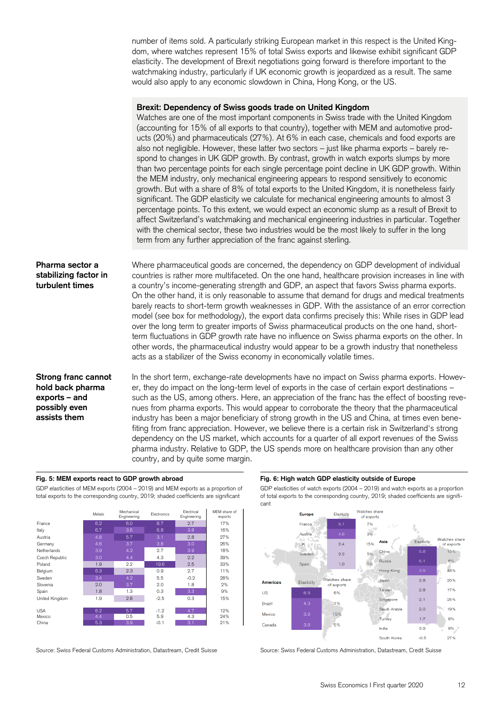number of items sold. A particularly striking European market in this respect is the United Kingdom, where watches represent 15% of total Swiss exports and likewise exhibit significant GDP elasticity. The development of Brexit negotiations going forward is therefore important to the watchmaking industry, particularly if UK economic growth is jeopardized as a result. The same would also apply to any economic slowdown in China, Hong Kong, or the US.

#### **Brexit: Dependency of Swiss goods trade on United Kingdom**

Watches are one of the most important components in Swiss trade with the United Kingdom (accounting for 15% of all exports to that country), together with MEM and automotive products (20%) and pharmaceuticals (27%). At 6% in each case, chemicals and food exports are also not negligible. However, these latter two sectors – just like pharma exports – barely respond to changes in UK GDP growth. By contrast, growth in watch exports slumps by more than two percentage points for each single percentage point decline in UK GDP growth. Within the MEM industry, only mechanical engineering appears to respond sensitively to economic growth. But with a share of 8% of total exports to the United Kingdom, it is nonetheless fairly significant. The GDP elasticity we calculate for mechanical engineering amounts to almost 3 percentage points. To this extent, we would expect an economic slump as a result of Brexit to affect Switzerland's watchmaking and mechanical engineering industries in particular. Together with the chemical sector, these two industries would be the most likely to suffer in the long term from any further appreciation of the franc against sterling.

**Pharma sector a** Where pharmaceutical goods are concerned, the dependency on GDP development of individual **stabilizing factor in** countries is rather more multifaceted. On the one hand, healthcare provision increases in line with **turbulent times** a country's income-generating strength and GDP, an aspect that favors Swiss pharma exports. On the other hand, it is only reasonable to assume that demand for drugs and medical treatments barely reacts to short-term growth weaknesses in GDP. With the assistance of an error correction model (see box for methodology), the export data confirms precisely this: While rises in GDP lead over the long term to greater imports of Swiss pharmaceutical products on the one hand, shortterm fluctuations in GDP growth rate have no influence on Swiss pharma exports on the other. In other words, the pharmaceutical industry would appear to be a growth industry that nonetheless acts as a stabilizer of the Swiss economy in economically volatile times.

**Strong franc cannot** In the short term, exchange-rate developments have no impact on Swiss pharma exports. Howev**hold back pharma** er, they do impact on the long-term level of exports in the case of certain export destinations – **exports – and** such as the US, among others. Here, an appreciation of the franc has the effect of boosting reve**possibly even nues from pharma exports. This would appear to corroborate the theory that the pharmaceutical assists them** industry has been a major beneficiary of strong growth in the US and China, at times even benefiting from franc appreciation. However, we believe there is a certain risk in Switzerland's strong dependency on the US market, which accounts for a quarter of all export revenues of the Swiss pharma industry. Relative to GDP, the US spends more on healthcare provision than any other country, and by quite some margin.

#### Fig. 5: MEM exports react to GDP growth abroad

GDP elasticities of MEM exports (2004 – 2019) and MEM exports as a proportion of total exports to the corresponding country, 2019; shaded coefficients are significant of total exports to the corresponding country, 2019; shaded coefficients are signifi-



Source: Swiss Federal Customs Administration, Datastream, Credit Suisse Source: Swiss Federal Customs Administration, Datastream, Credit Suisse

## **Fig. 6: High watch GDP elasticity outside of Europe**

GDP elasticities of watch exports (2004 - 2019) and watch exports as a proportion cant

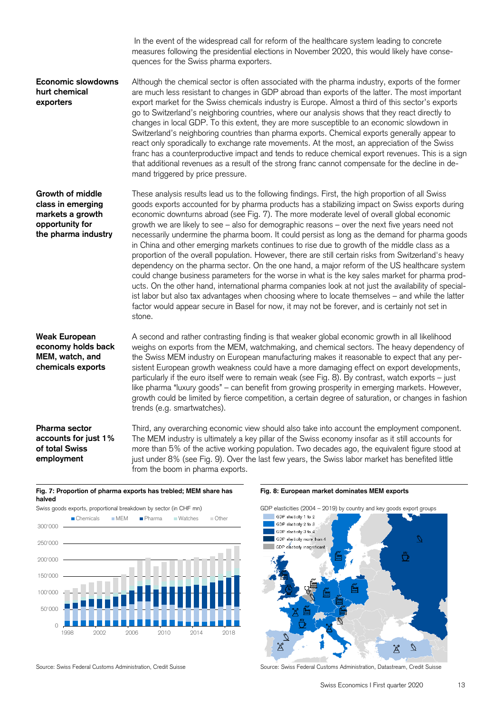stone. trends (e.g. smartwatches). **Economic slowdowns hurt chemical exporters Growth of middle class in emerging markets a growth opportunity for the pharma industry Weak European economy holds back MEM, watch, and chemicals exports**  In the event of the widespread call for reform of the healthcare system leading to concrete measures following the presidential elections in November 2020, this would likely have consequences for the Swiss pharma exporters. Although the chemical sector is often associated with the pharma industry, exports of the former are much less resistant to changes in GDP abroad than exports of the latter. The most important export market for the Swiss chemicals industry is Europe. Almost a third of this sector's exports go to Switzerland's neighboring countries, where our analysis shows that they react directly to changes in local GDP. To this extent, they are more susceptible to an economic slowdown in Switzerland's neighboring countries than pharma exports. Chemical exports generally appear to react only sporadically to exchange rate movements. At the most, an appreciation of the Swiss franc has a counterproductive impact and tends to reduce chemical export revenues. This is a sign that additional revenues as a result of the strong franc cannot compensate for the decline in demand triggered by price pressure. These analysis results lead us to the following findings. First, the high proportion of all Swiss goods exports accounted for by pharma products has a stabilizing impact on Swiss exports during economic downturns abroad (see Fig. 7). The more moderate level of overall global economic growth we are likely to see – also for demographic reasons – over the next five years need not necessarily undermine the pharma boom. It could persist as long as the demand for pharma goods in China and other emerging markets continues to rise due to growth of the middle class as a proportion of the overall population. However, there are still certain risks from Switzerland's heavy dependency on the pharma sector. On the one hand, a major reform of the US healthcare system could change business parameters for the worse in what is the key sales market for pharma products. On the other hand, international pharma companies look at not just the availability of specialist labor but also tax advantages when choosing where to locate themselves – and while the latter factor would appear secure in Basel for now, it may not be forever, and is certainly not set in A second and rather contrasting finding is that weaker global economic growth in all likelihood weighs on exports from the MEM, watchmaking, and chemical sectors. The heavy dependency of the Swiss MEM industry on European manufacturing makes it reasonable to expect that any persistent European growth weakness could have a more damaging effect on export developments, particularly if the euro itself were to remain weak (see Fig. 8). By contrast, watch exports – just like pharma "luxury goods" – can benefit from growing prosperity in emerging markets. However, growth could be limited by fierce competition, a certain degree of saturation, or changes in fashion

**Pharma sector accounts for just 1% of total Swiss employment** 

Third, any overarching economic view should also take into account the employment component. The MEM industry is ultimately a key pillar of the Swiss economy insofar as it still accounts for more than 5% of the active working population. Two decades ago, the equivalent figure stood at just under 8% (see Fig. 9). Over the last few years, the Swiss labor market has benefited little from the boom in pharma exports.

#### **Fig. 7: Proportion of pharma exports has trebled; MEM share has halved**

Swiss goods exports, proportional breakdown by sector (in CHF mn)



#### **Fig. 8: European market dominates MEM exports**



Source: Swiss Federal Customs Administration, Credit Suisse Suite And Source: Swiss Federal Customs Administration, Datastream, Credit Suisse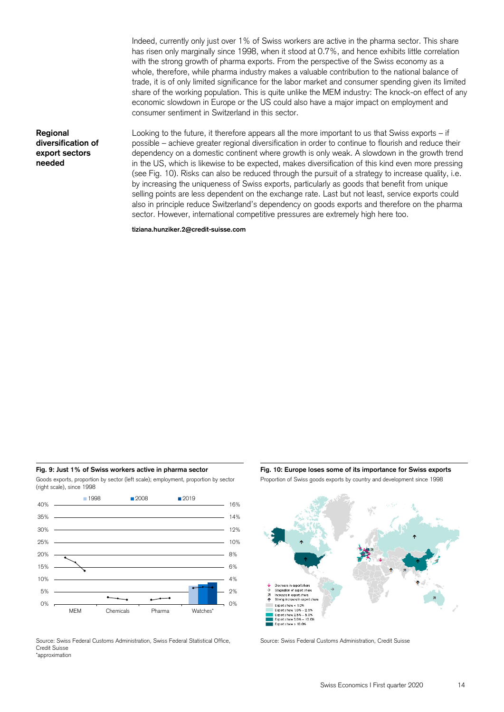Indeed, currently only just over 1% of Swiss workers are active in the pharma sector. This share has risen only marginally since 1998, when it stood at 0.7%, and hence exhibits little correlation with the strong growth of pharma exports. From the perspective of the Swiss economy as a whole, therefore, while pharma industry makes a valuable contribution to the national balance of trade, it is of only limited significance for the labor market and consumer spending given its limited share of the working population. This is quite unlike the MEM industry: The knock-on effect of any economic slowdown in Europe or the US could also have a major impact on employment and consumer sentiment in Switzerland in this sector.

**Regional diversification of export sectors needed** 

Looking to the future, it therefore appears all the more important to us that Swiss exports – if possible – achieve greater regional diversification in order to continue to flourish and reduce their dependency on a domestic continent where growth is only weak. A slowdown in the growth trend in the US, which is likewise to be expected, makes diversification of this kind even more pressing (see Fig. 10). Risks can also be reduced through the pursuit of a strategy to increase quality, i.e. by increasing the uniqueness of Swiss exports, particularly as goods that benefit from unique selling points are less dependent on the exchange rate. Last but not least, service exports could also in principle reduce Switzerland's dependency on goods exports and therefore on the pharma sector. However, international competitive pressures are extremely high here too.

**tiziana.hunziker.2@credit-suisse.com** 

Fig. 9: Just 1% of Swiss workers active in pharma sector Goods exports, proportion by sector (left scale); employment, proportion by sector (right scale), since 1998



Source: Swiss Federal Customs Administration, Swiss Federal Statistical Office, Credit Suisse \*approximation

Proportion of Swiss goods exports by country and development since 1998 Fig. 10: Europe loses some of its importance for Swiss exports



Source: Swiss Federal Customs Administration, Credit Suisse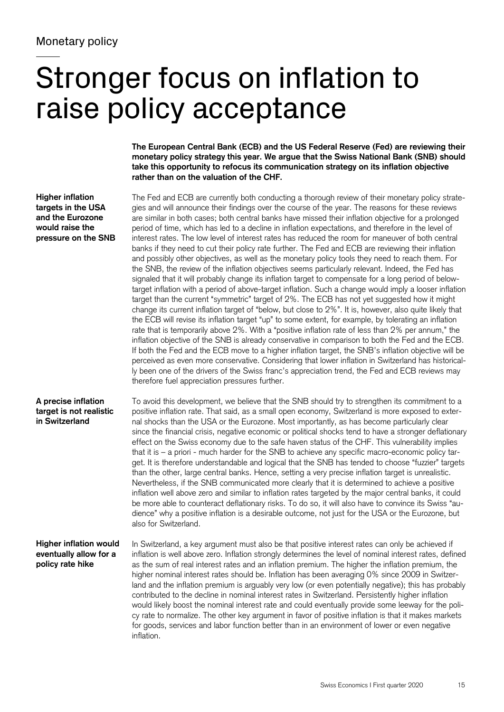# Stronger focus on inflation to raise policy acceptance

**The European Central Bank (ECB) and the US Federal Reserve (Fed) are reviewing their monetary policy strategy this year. We argue that the Swiss National Bank (SNB) should take this opportunity to refocus its communication strategy on its inflation objective rather than on the valuation of the CHF.** 

**Higher inflation targets in the USA and the Eurozone would raise the pressure on the SNB** 

therefore fuel appreciation pressures further. The Fed and ECB are currently both conducting a thorough review of their monetary policy strategies and will announce their findings over the course of the year. The reasons for these reviews are similar in both cases; both central banks have missed their inflation objective for a prolonged period of time, which has led to a decline in inflation expectations, and therefore in the level of interest rates. The low level of interest rates has reduced the room for maneuver of both central banks if they need to cut their policy rate further. The Fed and ECB are reviewing their inflation and possibly other objectives, as well as the monetary policy tools they need to reach them. For the SNB, the review of the inflation objectives seems particularly relevant. Indeed, the Fed has signaled that it will probably change its inflation target to compensate for a long period of belowtarget inflation with a period of above-target inflation. Such a change would imply a looser inflation target than the current "symmetric" target of 2%. The ECB has not yet suggested how it might change its current inflation target of "below, but close to 2%". It is, however, also quite likely that the ECB will revise its inflation target "up" to some extent, for example, by tolerating an inflation rate that is temporarily above 2%. With a "positive inflation rate of less than 2% per annum," the inflation objective of the SNB is already conservative in comparison to both the Fed and the ECB. If both the Fed and the ECB move to a higher inflation target, the SNB's inflation objective will be perceived as even more conservative. Considering that lower inflation in Switzerland has historically been one of the drivers of the Swiss franc's appreciation trend, the Fed and ECB reviews may

**A precise inflation target is not realistic in Switzerland** 

To avoid this development, we believe that the SNB should try to strengthen its commitment to a positive inflation rate. That said, as a small open economy, Switzerland is more exposed to external shocks than the USA or the Eurozone. Most importantly, as has become particularly clear since the financial crisis, negative economic or political shocks tend to have a stronger deflationary effect on the Swiss economy due to the safe haven status of the CHF. This vulnerability implies that it is – a priori - much harder for the SNB to achieve any specific macro-economic policy target. It is therefore understandable and logical that the SNB has tended to choose "fuzzier" targets than the other, large central banks. Hence, setting a very precise inflation target is unrealistic. Nevertheless, if the SNB communicated more clearly that it is determined to achieve a positive inflation well above zero and similar to inflation rates targeted by the major central banks, it could be more able to counteract deflationary risks. To do so, it will also have to convince its Swiss "audience" why a positive inflation is a desirable outcome, not just for the USA or the Eurozone, but also for Switzerland.

**Higher inflation would eventually allow for a policy rate hike** 

In Switzerland, a key argument must also be that positive interest rates can only be achieved if inflation is well above zero. Inflation strongly determines the level of nominal interest rates, defined as the sum of real interest rates and an inflation premium. The higher the inflation premium, the higher nominal interest rates should be. Inflation has been averaging 0% since 2009 in Switzerland and the inflation premium is arguably very low (or even potentially negative); this has probably contributed to the decline in nominal interest rates in Switzerland. Persistently higher inflation would likely boost the nominal interest rate and could eventually provide some leeway for the policy rate to normalize. The other key argument in favor of positive inflation is that it makes markets for goods, services and labor function better than in an environment of lower or even negative inflation.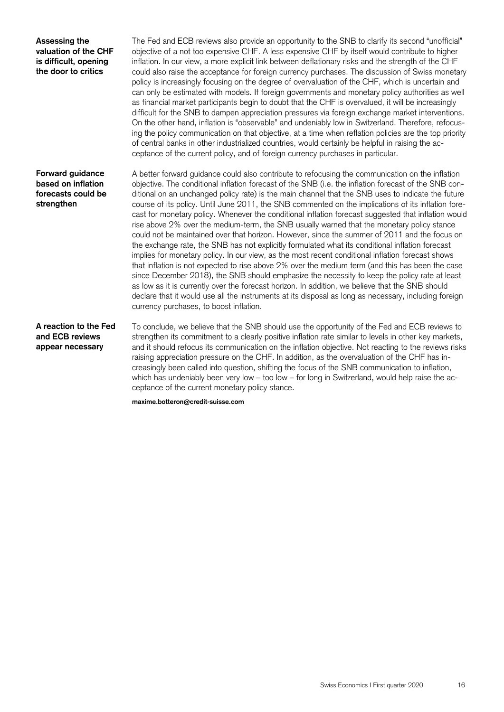### **Assessing the valuation of the CHF is difficult, opening the door to critics**

The Fed and ECB reviews also provide an opportunity to the SNB to clarify its second "unofficial" objective of a not too expensive CHF. A less expensive CHF by itself would contribute to higher inflation. In our view, a more explicit link between deflationary risks and the strength of the CHF could also raise the acceptance for foreign currency purchases. The discussion of Swiss monetary policy is increasingly focusing on the degree of overvaluation of the CHF, which is uncertain and can only be estimated with models. If foreign governments and monetary policy authorities as well as financial market participants begin to doubt that the CHF is overvalued, it will be increasingly difficult for the SNB to dampen appreciation pressures via foreign exchange market interventions. On the other hand, inflation is "observable" and undeniably low in Switzerland. Therefore, refocusing the policy communication on that objective, at a time when reflation policies are the top priority of central banks in other industrialized countries, would certainly be helpful in raising the acceptance of the current policy, and of foreign currency purchases in particular.

### **Forward guidance based on inflation forecasts could be strengthen**

A better forward guidance could also contribute to refocusing the communication on the inflation objective. The conditional inflation forecast of the SNB (i.e. the inflation forecast of the SNB conditional on an unchanged policy rate) is the main channel that the SNB uses to indicate the future course of its policy. Until June 2011, the SNB commented on the implications of its inflation forecast for monetary policy. Whenever the conditional inflation forecast suggested that inflation would rise above 2% over the medium-term, the SNB usually warned that the monetary policy stance could not be maintained over that horizon. However, since the summer of 2011 and the focus on the exchange rate, the SNB has not explicitly formulated what its conditional inflation forecast implies for monetary policy. In our view, as the most recent conditional inflation forecast shows that inflation is not expected to rise above 2% over the medium term (and this has been the case since December 2018), the SNB should emphasize the necessity to keep the policy rate at least as low as it is currently over the forecast horizon. In addition, we believe that the SNB should declare that it would use all the instruments at its disposal as long as necessary, including foreign currency purchases, to boost inflation.

## **A reaction to the Fed and ECB reviews appear necessary**

To conclude, we believe that the SNB should use the opportunity of the Fed and ECB reviews to strengthen its commitment to a clearly positive inflation rate similar to levels in other key markets, and it should refocus its communication on the inflation objective. Not reacting to the reviews risks raising appreciation pressure on the CHF. In addition, as the overvaluation of the CHF has increasingly been called into question, shifting the focus of the SNB communication to inflation, which has undeniably been very low – too low – for long in Switzerland, would help raise the acceptance of the current monetary policy stance.

**maxime.botteron@credit-suisse.com**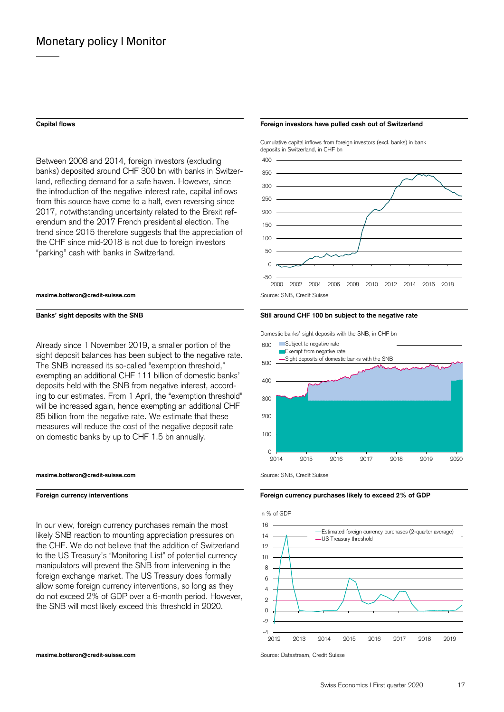Between 2008 and 2014, foreign investors (excluding  $400$ banks) deposited around CHF 300 bn with banks in Switzer-<br>350 land, reflecting demand for a safe haven. However, since the introduction of the negative interest rate, capital inflows from this source have come to a halt, even reversing since 250 2017, notwithstanding uncertainty related to the Brexit ref- <sup>200</sup> erendum and the 2017 French presidential election. The 150 trend since 2015 therefore suggests that the appreciation of the CHF since mid-2018 is not due to foreign investors 100 "parking" cash with banks in Switzerland. 50

#### **maxime.botteron@credit-suisse.com Source: SNB, Credit Suisse.com** Source: SNB, Credit Suisse

on domestic banks by up to CHF 1.5 bn annually.  $^{100}$ A Iready since 1 November 2019, a smaller portion of the 600 Subject to negative rate sight deposit balances has been subject to the negative rate.<br>The SNB increased its so-called "exemption threshold," 500 exempting an additional CHF 111 billion of domestic banks' deposits held with the SNB from negative interest, according to our estimates. From 1 April, the "exemption threshold"  $300$ will be increased again, hence exempting an additional CHF 85 billion from the negative rate. We estimate that these 200 measures will reduce the cost of the negative deposit rate

#### **maxime.botteron@credit-suisse.com Source: SNB, Credit Suisse** Suite of the Suisse SNB, Credit Suisse

In our view, foreign currency purchases remain the most 16 likely SNB reaction to mounting appreciation pressures on 14 the CHF. We do not believe that the addition of Switzerland  $12$ to the US Treasury's "Monitoring List" of potential currency 10 manipulators will prevent the SNB from intervening in the  $\frac{8}{8}$ foreign exchange market. The US Treasury does formally 6 allow some foreign currency interventions, so long as they  $44$ do not exceed 2% of GDP over a 6-month period. However, the SNB will most likely exceed this threshold in 2020.

#### **Capital flows Foreign investors have pulled cash out of Switzerland**

 Cumulative capital inflows from foreign investors (excl. banks) in bank deposits in Switzerland, in CHF bn



#### Banks' sight deposits with the SNB **Still around CHF 100 bn subject to the negative rate Still around CHF** 100 bn subject to the negative rate

Domestic banks' sight deposits with the SNB, in CHF bn



#### **Foreign currency interventions Foreign currency purchases likely to exceed 2% of GDP**

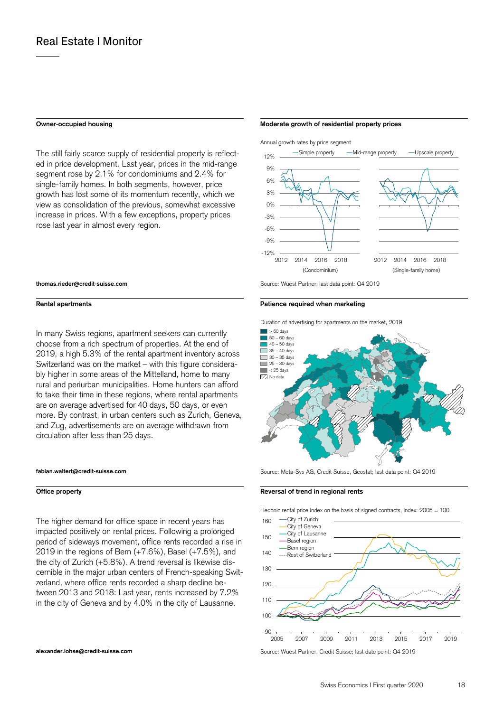#### **Owner-occupied housing**

 rose last year in almost every region. The still fairly scarce supply of residential property is reflected in price development. Last year, prices in the mid-range segment rose by 2.1% for condominiums and 2.4% for single-family homes. In both segments, however, price growth has lost some of its momentum recently, which we view as consolidation of the previous, somewhat excessive increase in prices. With a few exceptions, property prices

#### **thomas.rieder@credit-suisse.com**

#### **Rental apartments**

In many Swiss regions, apartment seekers can currently choose from a rich spectrum of properties. At the end of 2019, a high 5.3% of the rental apartment inventory across Switzerland was on the market – with this figure considerably higher in some areas of the Mittelland, home to many rural and periurban municipalities. Home hunters can afford to take their time in these regions, where rental apartments are on average advertised for 40 days, 50 days, or even more. By contrast, in urban centers such as Zurich, Geneva, and Zug, advertisements are on average withdrawn from circulation after less than 25 days.



#### **Office property**

The higher demand for office space in recent years has impacted positively on rental prices. Following a prolonged period of sideways movement, office rents recorded a rise in 2019 in the regions of Bern (+7.6%), Basel (+7.5%), and the city of Zurich (+5.8%). A trend reversal is likewise discernible in the major urban centers of French-speaking Switzerland, where office rents recorded a sharp decline between 2013 and 2018: Last year, rents increased by 7.2% in the city of Geneva and by 4.0% in the city of Lausanne.

#### **Moderate growth of residential property prices**



Source: Wüest Partner; last data point: Q4 2019

#### **Patience required when marketing**

Duration of advertising for apartments on the market, 2019



Source: Meta-Sys AG, Credit Suisse, Geostat; last data point: Q4 2019

#### **Reversal of trend in regional rents**

Hedonic rental price index on the basis of signed contracts, index: 2005 = 100



**alexander.lohse@credit-suisse.com Source: Wüest Partner, Credit Suisse; last date point: Q4 2019**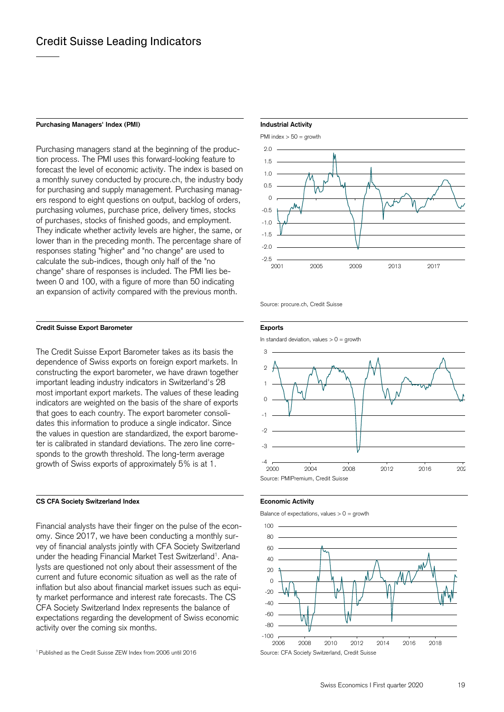#### **Purchasing Managers' Index (PMI)**

Purchasing managers stand at the beginning of the production process. The PMI uses this forward-looking feature to forecast the level of economic activity. The index is based on a monthly survey conducted by procure.ch, the industry body for purchasing and supply management. Purchasing managers respond to eight questions on output, backlog of orders, purchasing volumes, purchase price, delivery times, stocks of purchases, stocks of finished goods, and employment. They indicate whether activity levels are higher, the same, or lower than in the preceding month. The percentage share of responses stating "higher" and "no change" are used to calculate the sub-indices, though only half of the "no change" share of responses is included. The PMI lies between 0 and 100, with a figure of more than 50 indicating an expansion of activity compared with the previous month.

#### **Credit Suisse Export Barometer**

The Credit Suisse Export Barometer takes as its basis the dependence of Swiss exports on foreign export markets. In constructing the export barometer, we have drawn together important leading industry indicators in Switzerland's 28 most important export markets. The values of these leading indicators are weighted on the basis of the share of exports that goes to each country. The export barometer consolidates this information to produce a single indicator. Since the values in question are standardized, the export barometer is calibrated in standard deviations. The zero line corresponds to the growth threshold. The long-term average growth of Swiss exports of approximately 5% is at 1.

#### **CS CFA Society Switzerland Index**

Financial analysts have their finger on the pulse of the economy. Since 2017, we have been conducting a monthly survey of financial analysts jointly with CFA Society Switzerland under the heading Financial Market Test Switzerland<sup>1</sup>. Ana lysts are questioned not only about their assessment of the current and future economic situation as well as the rate of inflation but also about financial market issues such as equity market performance and interest rate forecasts. The CS CFA Society Switzerland Index represents the balance of expectations regarding the development of Swiss economic activity over the coming six months.

#### 1 Published as the Credit Suisse ZEW Index from 2006 until 2016

#### **Industrial Activity**



Source: procure.ch, Credit Suisse

#### **Exports**

In standard deviation, values  $> 0 =$  growth





Balance of expectations, values  $> 0 =$  growth

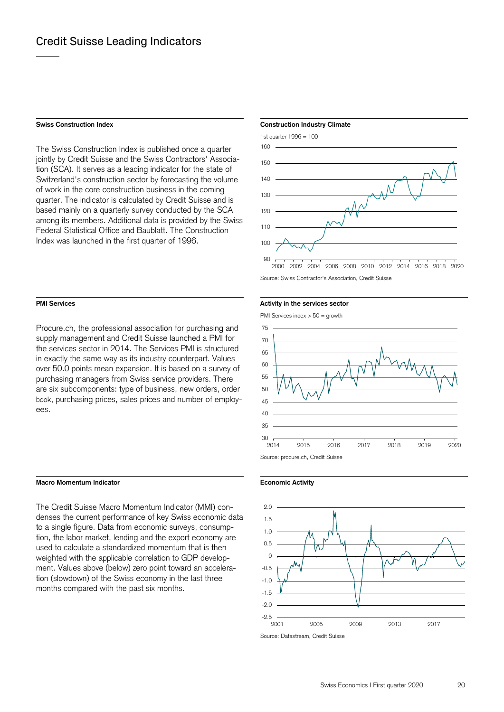#### **Swiss Construction Index**

The Swiss Construction Index is published once a quarter jointly by Credit Suisse and the Swiss Contractors' Association (SCA). It serves as a leading indicator for the state of Switzerland's construction sector by forecasting the volume of work in the core construction business in the coming quarter. The indicator is calculated by Credit Suisse and is based mainly on a quarterly survey conducted by the SCA among its members. Additional data is provided by the Swiss Federal Statistical Office and Baublatt. The Construction Index was launched in the first quarter of 1996.

#### **PMI Services**

Procure.ch, the professional association for purchasing and supply management and Credit Suisse launched a PMI for the services sector in 2014. The Services PMI is structured in exactly the same way as its industry counterpart. Values over 50.0 points mean expansion. It is based on a survey of purchasing managers from Swiss service providers. There are six subcomponents: type of business, new orders, order book, purchasing prices, sales prices and number of employees.

#### **Macro Momentum Indicator**

The Credit Suisse Macro Momentum Indicator (MMI) condenses the current performance of key Swiss economic data to a single figure. Data from economic surveys, consumption, the labor market, lending and the export economy are used to calculate a standardized momentum that is then weighted with the applicable correlation to GDP development. Values above (below) zero point toward an acceleration (slowdown) of the Swiss economy in the last three months compared with the past six months.

#### **Construction Industry Climate**



Source: Swiss Contractor's Association, Credit Suisse

#### **Activity in the services sector**

PMI Services index > 50 = growth





#### **Economic Activity**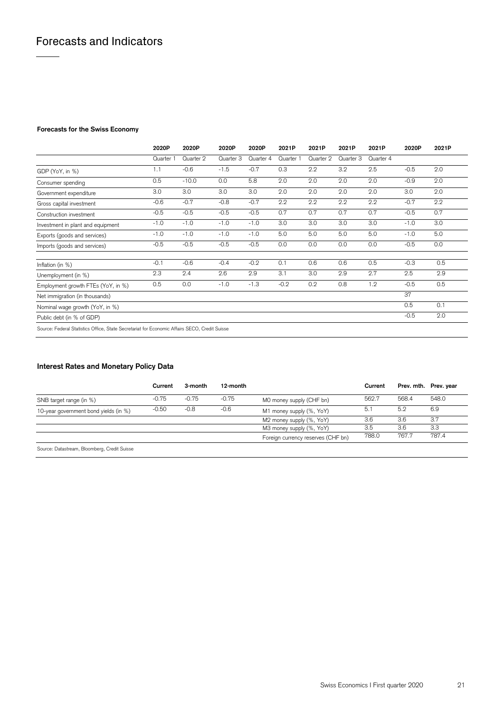### **Forecasts for the Swiss Economy**

|                                                                                               | 2020P     | 2020P     | 2020P     | 2020P     | 2021P     | 2021P     | 2021P     | 2021P     | 2020P  | 2021P |
|-----------------------------------------------------------------------------------------------|-----------|-----------|-----------|-----------|-----------|-----------|-----------|-----------|--------|-------|
|                                                                                               | Quarter 1 | Quarter 2 | Quarter 3 | Quarter 4 | Quarter 1 | Quarter 2 | Quarter 3 | Quarter 4 |        |       |
| GDP (YoY, in %)                                                                               | 1.1       | $-0.6$    | $-1.5$    | $-0.7$    | 0.3       | 2.2       | 3.2       | 2.5       | $-0.5$ | 2.0   |
| Consumer spending                                                                             | 0.5       | $-10.0$   | 0.0       | 5.8       | 2.0       | 2.0       | 2.0       | 2.0       | $-0.9$ | 2.0   |
| Government expenditure                                                                        | 3.0       | 3.0       | 3.0       | 3.0       | 2.0       | 2.0       | 2.0       | 2.0       | 3.0    | 2.0   |
| Gross capital investment                                                                      | $-0.6$    | $-0.7$    | $-0.8$    | $-0.7$    | 2.2       | 2.2       | 2.2       | 2.2       | $-0.7$ | 2.2   |
| Construction investment                                                                       | $-0.5$    | $-0.5$    | $-0.5$    | $-0.5$    | 0.7       | 0.7       | 0.7       | 0.7       | $-0.5$ | 0.7   |
| Investment in plant and equipment                                                             | $-1.0$    | $-1.0$    | $-1.0$    | $-1.0$    | 3.0       | 3.0       | 3.0       | 3.0       | $-1.0$ | 3.0   |
| Exports (goods and services)                                                                  | $-1.0$    | $-1.0$    | $-1.0$    | $-1.0$    | 5.0       | 5.0       | 5.0       | 5.0       | $-1.0$ | 5.0   |
| Imports (goods and services)                                                                  | $-0.5$    | $-0.5$    | $-0.5$    | $-0.5$    | 0.0       | 0.0       | 0.0       | 0.0       | $-0.5$ | 0.0   |
| Inflation (in %)                                                                              | $-0.1$    | $-0.6$    | $-0.4$    | $-0.2$    | 0.1       | 0.6       | 0.6       | 0.5       | $-0.3$ | 0.5   |
| Unemployment (in %)                                                                           | 2.3       | 2.4       | 2.6       | 2.9       | 3.1       | 3.0       | 2.9       | 2.7       | 2.5    | 2.9   |
| Employment growth FTEs (YoY, in %)                                                            | 0.5       | 0.0       | $-1.0$    | $-1.3$    | $-0.2$    | 0.2       | 0.8       | 1.2       | $-0.5$ | 0.5   |
| Net immigration (in thousands)                                                                |           |           |           |           |           |           |           |           | 37     |       |
| Nominal wage growth (YoY, in %)                                                               |           |           |           |           |           |           |           |           | 0.5    | 0.1   |
| Public debt (in % of GDP)                                                                     |           |           |           |           |           |           |           |           | $-0.5$ | 2.0   |
| Source: Federal Statistics Office, State Secretariat for Economic Affairs SECO, Credit Suisse |           |           |           |           |           |           |           |           |        |       |

### **Interest Rates and Monetary Policy Data**

|                                              | Current | 3-month | 12-month |                                    | Current |       | Prev. mth. Prev. year |
|----------------------------------------------|---------|---------|----------|------------------------------------|---------|-------|-----------------------|
| SNB target range (in %)                      | $-0.75$ | $-0.75$ | $-0.75$  | MO money supply (CHF bn)           | 562.7   | 568.4 | 548.0                 |
| 10-year government bond yields (in %)        | $-0.50$ | $-0.8$  | $-0.6$   | M1 money supply (%, YoY)           | 5.1     | 5.2   | 6.9                   |
|                                              |         |         |          | M2 money supply (%, YoY)           | 3.6     | 3.6   | 3.7                   |
|                                              |         |         |          | M3 money supply (%, YoY)           | 3.5     | 3.6   | 3.3                   |
|                                              |         |         |          | Foreign currency reserves (CHF bn) | 788.0   | 767.7 | 787.4                 |
| Causes: Detectronic Planmhorn, Cradit Cuinna |         |         |          |                                    |         |       |                       |

Source: Datastream, Bloomberg, Credit Suisse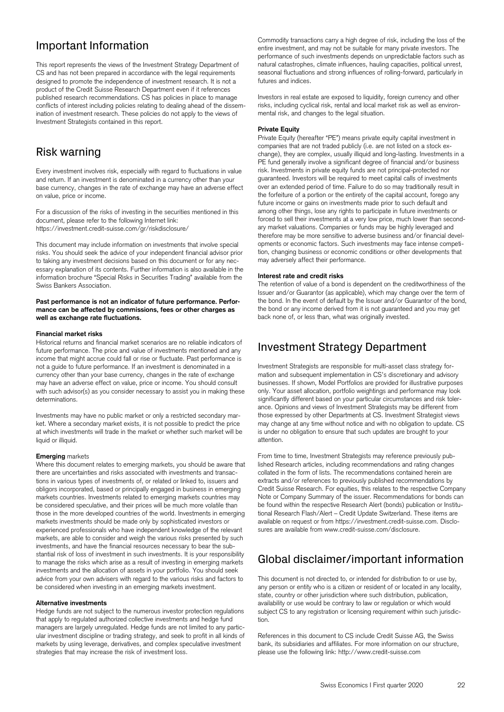## Important Information

This report represents the views of the Investment Strategy Department of CS and has not been prepared in accordance with the legal requirements designed to promote the independence of investment research. It is not a product of the Credit Suisse Research Department even if it references published research recommendations. CS has policies in place to manage conflicts of interest including policies relating to dealing ahead of the dissemination of investment research. These policies do not apply to the views of Investment Strategists contained in this report.

## Risk warning

Every investment involves risk, especially with regard to fluctuations in value and return. If an investment is denominated in a currency other than your base currency, changes in the rate of exchange may have an adverse effect on value, price or income.

https://investment.credit-suisse.com/gr/riskdisclosure/ For a discussion of the risks of investing in the securities mentioned in this document, please refer to the following Internet link:

This document may include information on investments that involve special risks. You should seek the advice of your independent financial advisor prior to taking any investment decisions based on this document or for any necessary explanation of its contents. Further information is also available in the information brochure "Special Risks in Securities Trading" available from the Swiss Bankers Association.

#### Past performance is not an indicator of future performance. Perfor**mance can be affected by commissions, fees or other charges as well as exchange rate fluctuations.**

#### **Financial market risks**

Historical returns and financial market scenarios are no reliable indicators of future performance. The price and value of investments mentioned and any income that might accrue could fall or rise or fluctuate. Past performance is not a guide to future performance. If an investment is denominated in a currency other than your base currency, changes in the rate of exchange may have an adverse effect on value, price or income. You should consult with such advisor(s) as you consider necessary to assist you in making these determinations.

 liquid or illiquid. Investments may have no public market or only a restricted secondary market. Where a secondary market exists, it is not possible to predict the price at which investments will trade in the market or whether such market will be

#### **Emerging** markets

 obligors incorporated, based or principally engaged in business in emerging be considered speculative, and their prices will be much more volatile than advice from your own advisers with regard to the various risks and factors to Where this document relates to emerging markets, you should be aware that there are uncertainties and risks associated with investments and transactions in various types of investments of, or related or linked to, issuers and markets countries. Investments related to emerging markets countries may those in the more developed countries of the world. Investments in emerging markets investments should be made only by sophisticated investors or experienced professionals who have independent knowledge of the relevant markets, are able to consider and weigh the various risks presented by such investments, and have the financial resources necessary to bear the substantial risk of loss of investment in such investments. It is your responsibility to manage the risks which arise as a result of investing in emerging markets investments and the allocation of assets in your portfolio. You should seek be considered when investing in an emerging markets investment. strategies that may increase the risk of interest increase that may increase the risk of investigations carry a may increase the risk of interest increase the risk of interest increase the risk of interest increase the ri

#### **Alternative investments**

strategies that may increase the risk of investment loss. Hedge funds are not subject to the numerous investor protection regulations that apply to regulated authorized collective investments and hedge fund managers are largely unregulated. Hedge funds are not limited to any particular investment discipline or trading strategy, and seek to profit in all kinds of markets by using leverage, derivatives, and complex speculative investment

 entire investment, and may not be suitable for many private investors. The performance of such investments depends on unpredictable factors such as natural catastrophes, climate influences, hauling capacities, political unrest, seasonal fluctuations and strong influences of rolling-forward, particularly in futures and indices.

Investors in real estate are exposed to liquidity, foreign currency and other risks, including cyclical risk, rental and local market risk as well as environmental risk, and changes to the legal situation.

#### **Private Equity**

 over an extended period of time. Failure to do so may traditionally result in ary market valuations. Companies or funds may be highly leveraged and therefore may be more sensitive to adverse business and/or financial devel-Private Equity (hereafter "PE") means private equity capital investment in companies that are not traded publicly (i.e. are not listed on a stock exchange), they are complex, usually illiquid and long-lasting. Investments in a PE fund generally involve a significant degree of financial and/or business risk. Investments in private equity funds are not principal-protected nor guaranteed. Investors will be required to meet capital calls of investments the forfeiture of a portion or the entirety of the capital account, forego any future income or gains on investments made prior to such default and among other things, lose any rights to participate in future investments or forced to sell their investments at a very low price, much lower than secondopments or economic factors. Such investments may face intense competition, changing business or economic conditions or other developments that may adversely affect their performance.

#### **Interest rate and credit risks**

 the bond. In the event of default by the Issuer and/or Guarantor of the bond, The retention of value of a bond is dependent on the creditworthiness of the Issuer and/or Guarantor (as applicable), which may change over the term of the bond or any income derived from it is not guaranteed and you may get back none of, or less than, what was originally invested.

## Investment Strategy Department

 businesses. If shown, Model Portfolios are provided for illustrative purposes may change at any time without notice and with no obligation to update. CS Investment Strategists are responsible for multi-asset class strategy formation and subsequent implementation in CS's discretionary and advisory only. Your asset allocation, portfolio weightings and performance may look significantly different based on your particular circumstances and risk tolerance. Opinions and views of Investment Strategists may be different from those expressed by other Departments at CS. Investment Strategist views is under no obligation to ensure that such updates are brought to your attention.

 Credit Suisse Research. For equities, this relates to the respective Company tional Research Flash/Alert – Credit Update Switzerland. These items are sures are available from www.credit-suisse.com/disclosure. From time to time, Investment Strategists may reference previously published Research articles, including recommendations and rating changes collated in the form of lists. The recommendations contained herein are extracts and/or references to previously published recommendations by Note or Company Summary of the issuer. Recommendations for bonds can be found within the respective Research Alert (bonds) publication or Instituavailable on request or from https://investment.credit-suisse.com. Disclo-

## Global disclaimer/important information

 availability or use would be contrary to law or regulation or which would This document is not directed to, or intended for distribution to or use by, any person or entity who is a citizen or resident of or located in any locality, state, country or other jurisdiction where such distribution, publication, subject CS to any registration or licensing requirement within such jurisdiction.

 please use the following link: http://www.credit-suisse.com References in this document to CS include Credit Suisse AG, the Swiss bank, its subsidiaries and affiliates. For more information on our structure,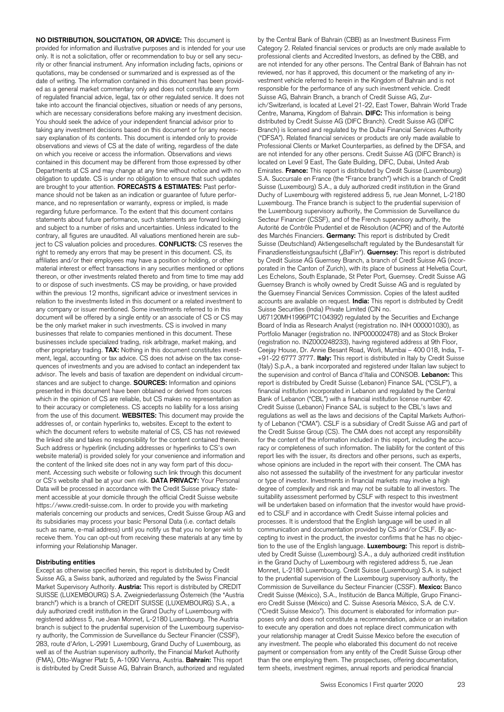provided for information and illustrative purposes and is intended for your use obligation to update. CS is under no obligation to ensure that such updates contrary, all figures are unaudited. All valuations mentioned herein are sub- material interest or effect transactions in any securities mentioned or options document will be offered by a single entity or an associate of CS or CS may other proprietary trading. **TAX:** Nothing in this document constitutes invest- presented in this document have been obtained or derived from sources website material) is provided solely for your convenience and information and materials concerning our products and services, Credit Suisse Group AG and **NO DISTRIBUTION, SOLICITATION, OR ADVICE:** This document is only. It is not a solicitation, offer or recommendation to buy or sell any security or other financial instrument. Any information including facts, opinions or quotations, may be condensed or summarized and is expressed as of the date of writing. The information contained in this document has been provided as a general market commentary only and does not constitute any form of regulated financial advice, legal, tax or other regulated service. It does not take into account the financial objectives, situation or needs of any persons, which are necessary considerations before making any investment decision. You should seek the advice of your independent financial advisor prior to taking any investment decisions based on this document or for any necessary explanation of its contents. This document is intended only to provide observations and views of CS at the date of writing, regardless of the date on which you receive or access the information. Observations and views contained in this document may be different from those expressed by other Departments at CS and may change at any time without notice and with no are brought to your attention. **FORECASTS & ESTIMATES:** Past performance should not be taken as an indication or guarantee of future performance, and no representation or warranty, express or implied, is made regarding future performance. To the extent that this document contains statements about future performance, such statements are forward looking and subject to a number of risks and uncertainties. Unless indicated to the ject to CS valuation policies and procedures. **CONFLICTS:** CS reserves the right to remedy any errors that may be present in this document. CS, its affiliates and/or their employees may have a position or holding, or other thereon, or other investments related thereto and from time to time may add to or dispose of such investments. CS may be providing, or have provided within the previous 12 months, significant advice or investment services in relation to the investments listed in this document or a related investment to any company or issuer mentioned. Some investments referred to in this be the only market maker in such investments. CS is involved in many businesses that relate to companies mentioned in this document. These businesses include specialized trading, risk arbitrage, market making, and ment, legal, accounting or tax advice. CS does not advise on the tax consequences of investments and you are advised to contact an independent tax advisor. The levels and basis of taxation are dependent on individual circumstances and are subject to change. **SOURCES:** Information and opinions which in the opinion of CS are reliable, but CS makes no representation as to their accuracy or completeness. CS accepts no liability for a loss arising from the use of this document. **WEBSITES:** This document may provide the addresses of, or contain hyperlinks to, websites. Except to the extent to which the document refers to website material of CS, CS has not reviewed the linked site and takes no responsibility for the content contained therein. Such address or hyperlink (including addresses or hyperlinks to CS's own the content of the linked site does not in any way form part of this document. Accessing such website or following such link through this document or CS's website shall be at your own risk. **DATA PRIVACY:** Your Personal Data will be processed in accordance with the Credit Suisse privacy statement accessible at your domicile through the official Credit Suisse website https://www.credit-suisse.com. In order to provide you with marketing its subsidiaries may process your basic Personal Data (i.e. contact details such as name, e-mail address) until you notify us that you no longer wish to receive them. You can opt-out from receiving these materials at any time by informing your Relationship Manager.

#### **Distributing entities**

 Except as otherwise specified herein, this report is distributed by Credit SUISSE (LUXEMBOURG) S.A. Zweigniederlassung Österreich (the "Austria branch") which is a branch of CREDIT SUISSE (LUXEMBOURG) S.A., a Suisse AG, a Swiss bank, authorized and regulated by the Swiss Financial Market Supervisory Authority. **Austria:** This report is distributed by CREDIT duly authorized credit institution in the Grand Duchy of Luxembourg with registered address 5, rue Jean Monnet, L-2180 Luxembourg. The Austria branch is subject to the prudential supervision of the Luxembourg supervisory authority, the Commission de Surveillance du Secteur Financier (CSSF), 283, route d'Arlon, L-2991 Luxembourg, Grand Duchy of Luxembourg, as well as of the Austrian supervisory authority, the Financial Market Authority (FMA), Otto-Wagner Platz 5, A-1090 Vienna, Austria. **Bahrain:** This report is distributed by Credit Suisse AG, Bahrain Branch, authorized and regulated

 are not intended for any other persons. Credit Suisse AG (DIFC Branch) is Suisse (Luxembourg) S.A., a duly authorized credit institution in the Grand Luxembourg. The France branch is subject to the prudential supervision of Autorité de Contrôle Prudentiel et de Résolution (ACPR) and of the Autorité Les Echelons, South Esplanade, St Peter Port, Guernsey. Credit Suisse AG accounts are available on request. **India:** This report is distributed by Credit by the Central Bank of Bahrain (CBB) as an Investment Business Firm Category 2. Related financial services or products are only made available to professional clients and Accredited Investors, as defined by the CBB, and are not intended for any other persons. The Central Bank of Bahrain has not reviewed, nor has it approved, this document or the marketing of any investment vehicle referred to herein in the Kingdom of Bahrain and is not responsible for the performance of any such investment vehicle. Credit Suisse AG, Bahrain Branch, a branch of Credit Suisse AG, Zurich/Switzerland, is located at Level 21-22, East Tower, Bahrain World Trade Centre, Manama, Kingdom of Bahrain. **DIFC:** This information is being distributed by Credit Suisse AG (DIFC Branch). Credit Suisse AG (DIFC Branch) is licensed and regulated by the Dubai Financial Services Authority ("DFSA"). Related financial services or products are only made available to Professional Clients or Market Counterparties, as defined by the DFSA, and located on Level 9 East, The Gate Building, DIFC, Dubai, United Arab Emirates. **France:** This report is distributed by Credit Suisse (Luxembourg) S.A. Succursale en France (the "France branch") which is a branch of Credit Duchy of Luxembourg with registered address 5, rue Jean Monnet, L-2180 the Luxembourg supervisory authority, the Commission de Surveillance du Secteur Financier (CSSF), and of the French supervisory authority, the des Marchés Financiers. **Germany:** This report is distributed by Credit Suisse (Deutschland) Aktiengesellschaft regulated by the Bundesanstalt für Finanzdienstleistungsaufsicht ("BaFin"). **Guernsey:** This report is distributed by Credit Suisse AG Guernsey Branch, a branch of Credit Suisse AG (incorporated in the Canton of Zurich), with its place of business at Helvetia Court, Guernsey Branch is wholly owned by Credit Suisse AG and is regulated by the Guernsey Financial Services Commission. Copies of the latest audited Suisse Securities (India) Private Limited (CIN no.

 report is distributed by Credit Suisse (Lebanon) Finance SAL ("CSLF"), a ty of Lebanon ("CMA"). CSLF is a subsidiary of Credit Suisse AG and part of also not assessed the suitability of the investment for any particular investor will be undertaken based on information that the investor would have provid- poses only and does not constitute a recommendation, advice or an invitation payment or compensation from any entity of the Credit Suisse Group other U67120MH1996PTC104392) regulated by the Securities and Exchange Board of India as Research Analyst (registration no. INH 000001030), as Portfolio Manager (registration no. INP000002478) and as Stock Broker (registration no. INZ000248233), having registered address at 9th Floor, Ceejay House, Dr. Annie Besant Road, Worli, Mumbai – 400 018, India, T- +91-22 6777 3777. **Italy:** This report is distributed in Italy by Credit Suisse (Italy) S.p.A., a bank incorporated and registered under Italian law subject to the supervision and control of Banca d'Italia and CONSOB. **Lebanon:** This financial institution incorporated in Lebanon and regulated by the Central Bank of Lebanon ("CBL") with a financial institution license number 42. Credit Suisse (Lebanon) Finance SAL is subject to the CBL's laws and regulations as well as the laws and decisions of the Capital Markets Authorithe Credit Suisse Group (CS). The CMA does not accept any responsibility for the content of the information included in this report, including the accuracy or completeness of such information. The liability for the content of this report lies with the issuer, its directors and other persons, such as experts, whose opinions are included in the report with their consent. The CMA has or type of investor. Investments in financial markets may involve a high degree of complexity and risk and may not be suitable to all investors. The suitability assessment performed by CSLF with respect to this investment ed to CSLF and in accordance with Credit Suisse internal policies and processes. It is understood that the English language will be used in all communication and documentation provided by CS and/or CSLF. By accepting to invest in the product, the investor confirms that he has no objection to the use of the English language. **Luxembourg:** This report is distributed by Credit Suisse (Luxembourg) S.A., a duly authorized credit institution in the Grand Duchy of Luxembourg with registered address 5, rue Jean Monnet, L-2180 Luxembourg. Credit Suisse (Luxembourg) S.A. is subject to the prudential supervision of the Luxembourg supervisory authority, the Commission de Surveillance du Secteur Financier (CSSF). **Mexico:** Banco Credit Suisse (México), S.A., Institución de Banca Múltiple, Grupo Financiero Credit Suisse (México) and C. Suisse Asesoría México, S.A. de C.V. ("Credit Suisse Mexico"). This document is elaborated for information purto execute any operation and does not replace direct communication with your relationship manager at Credit Suisse Mexico before the execution of any investment. The people who elaborated this document do not receive than the one employing them. The prospectuses, offering documentation, term sheets, investment regimes, annual reports and periodical financial